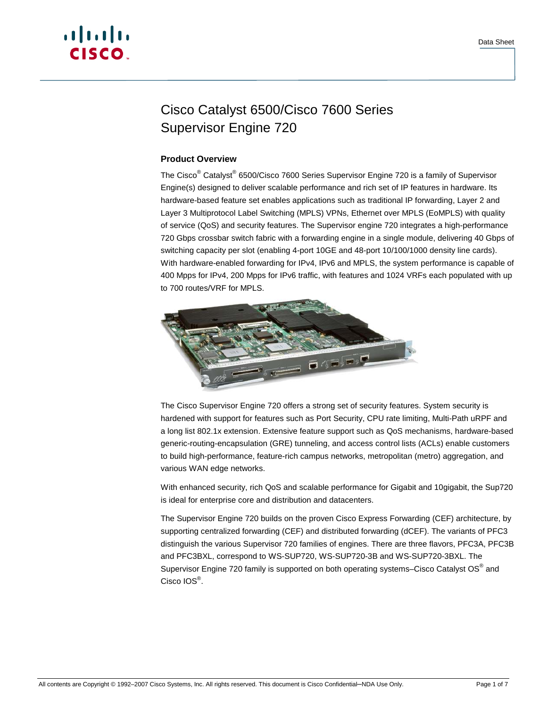

# Cisco Catalyst 6500/Cisco 7600 Series Supervisor Engine 720

# **Product Overview**

The Cisco<sup>®</sup> Catalyst<sup>®</sup> 6500/Cisco 7600 Series Supervisor Engine 720 is a family of Supervisor Engine(s) designed to deliver scalable performance and rich set of IP features in hardware. Its hardware-based feature set enables applications such as traditional IP forwarding, Layer 2 and Layer 3 Multiprotocol Label Switching (MPLS) VPNs, Ethernet over MPLS (EoMPLS) with quality of service (QoS) and security features. The Supervisor engine 720 integrates a high-performance 720 Gbps crossbar switch fabric with a forwarding engine in a single module, delivering 40 Gbps of switching capacity per slot (enabling 4-port 10GE and 48-port 10/100/1000 density line cards). With hardware-enabled forwarding for IPv4, IPv6 and MPLS, the system performance is capable of 400 Mpps for IPv4, 200 Mpps for IPv6 traffic, with features and 1024 VRFs each populated with up to 700 routes/VRF for MPLS.



The Cisco Supervisor Engine 720 offers a strong set of security features. System security is hardened with support for features such as Port Security, CPU rate limiting, Multi-Path uRPF and a long list 802.1x extension. Extensive feature support such as QoS mechanisms, hardware-based generic-routing-encapsulation (GRE) tunneling, and access control lists (ACLs) enable customers to build high-performance, feature-rich campus networks, metropolitan (metro) aggregation, and various WAN edge networks.

With enhanced security, rich QoS and scalable performance for Gigabit and 10gigabit, the Sup720 is ideal for enterprise core and distribution and datacenters.

The Supervisor Engine 720 builds on the proven Cisco Express Forwarding (CEF) architecture, by supporting centralized forwarding (CEF) and distributed forwarding (dCEF). The variants of PFC3 distinguish the various Supervisor 720 families of engines. There are three flavors, PFC3A, PFC3B and PFC3BXL, correspond to WS-SUP720, WS-SUP720-3B and WS-SUP720-3BXL. The Supervisor Engine 720 family is supported on both operating systems–Cisco Catalyst OS $^{\circledast}$  and Cisco IOS<sup>®</sup>.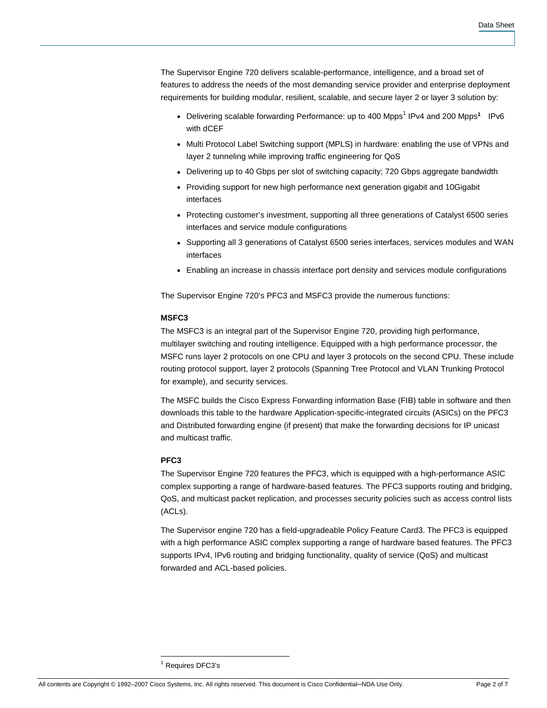The Supervisor Engine 720 delivers scalable-performance, intelligence, and a broad set of features to address the needs of the most demanding service provider and enterprise deployment requirements for building modular, resilient, scalable, and secure layer 2 or layer 3 solution by:

- Delivering scalable forwarding Performance: up to 400 Mpps<sup>1</sup> IPv4 and 200 Mpps<sup>1</sup> IPv6 with dCEF
- Multi Protocol Label Switching support (MPLS) in hardware: enabling the use of VPNs and layer 2 tunneling while improving traffic engineering for QoS
- Delivering up to 40 Gbps per slot of switching capacity; 720 Gbps aggregate bandwidth
- Providing support for new high performance next generation gigabit and 10Gigabit interfaces
- Protecting customer's investment, supporting all three generations of Catalyst 6500 series interfaces and service module configurations
- Supporting all 3 generations of Catalyst 6500 series interfaces, services modules and WAN interfaces
- Enabling an increase in chassis interface port density and services module configurations

The Supervisor Engine 720's PFC3 and MSFC3 provide the numerous functions:

#### **MSFC3**

The MSFC3 is an integral part of the Supervisor Engine 720, providing high performance, multilayer switching and routing intelligence. Equipped with a high performance processor, the MSFC runs layer 2 protocols on one CPU and layer 3 protocols on the second CPU. These include routing protocol support, layer 2 protocols (Spanning Tree Protocol and VLAN Trunking Protocol for example), and security services.

The MSFC builds the Cisco Express Forwarding information Base (FIB) table in software and then downloads this table to the hardware Application-specific-integrated circuits (ASICs) on the PFC3 and Distributed forwarding engine (if present) that make the forwarding decisions for IP unicast and multicast traffic.

#### **PFC3**

The Supervisor Engine 720 features the PFC3, which is equipped with a high-performance ASIC complex supporting a range of hardware-based features. The PFC3 supports routing and bridging, QoS, and multicast packet replication, and processes security policies such as access control lists (ACLs).

The Supervisor engine 720 has a field-upgradeable Policy Feature Card3. The PFC3 is equipped with a high performance ASIC complex supporting a range of hardware based features. The PFC3 supports IPv4, IPv6 routing and bridging functionality, quality of service (QoS) and multicast forwarded and ACL-based policies.

 1 Requires DFC3's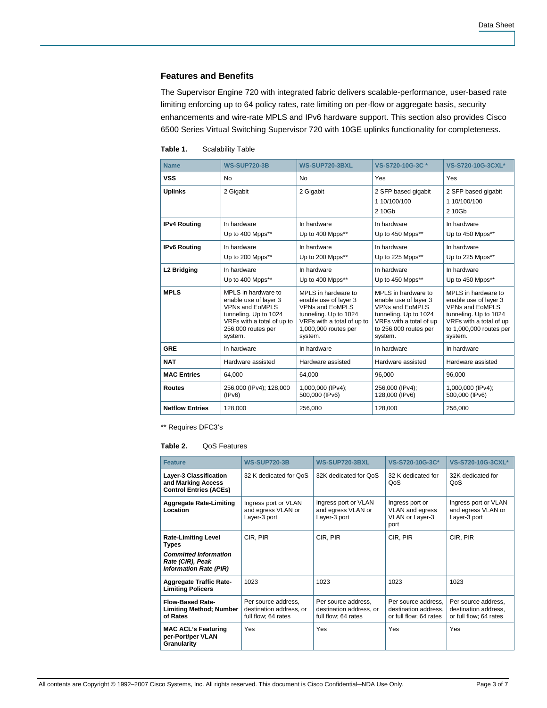# **Features and Benefits**

The Supervisor Engine 720 with integrated fabric delivers scalable-performance, user-based rate limiting enforcing up to 64 policy rates, rate limiting on per-flow or aggregate basis, security enhancements and wire-rate MPLS and IPv6 hardware support. This section also provides Cisco 6500 Series Virtual Switching Supervisor 720 with 10GE uplinks functionality for completeness.

| Table 1. | <b>Scalability Table</b> |
|----------|--------------------------|
|----------|--------------------------|

| <b>Name</b>             | <b>WS-SUP720-3B</b>                                                                                                                                            | <b>WS-SUP720-3BXL</b>                                                                                                                                     | VS-S720-10G-3C*                                                                                                                                                | VS-S720-10G-3CXL*                                                                                                                                         |
|-------------------------|----------------------------------------------------------------------------------------------------------------------------------------------------------------|-----------------------------------------------------------------------------------------------------------------------------------------------------------|----------------------------------------------------------------------------------------------------------------------------------------------------------------|-----------------------------------------------------------------------------------------------------------------------------------------------------------|
| <b>VSS</b>              | No                                                                                                                                                             | No.                                                                                                                                                       | Yes                                                                                                                                                            | Yes                                                                                                                                                       |
| <b>Uplinks</b>          | 2 Gigabit                                                                                                                                                      | 2 Gigabit                                                                                                                                                 | 2 SFP based gigabit<br>1 10/100/100<br>2 10Gb                                                                                                                  | 2 SFP based gigabit<br>1 10/100/100<br>2 10Gb                                                                                                             |
| <b>IPv4 Routing</b>     | In hardware<br>Up to 400 Mpps**                                                                                                                                | In hardware<br>Up to 400 Mpps**                                                                                                                           | In hardware<br>Up to 450 Mpps**                                                                                                                                | In hardware<br>Up to 450 Mpps**                                                                                                                           |
| <b>IPv6 Routing</b>     | In hardware<br>Up to 200 Mpps**                                                                                                                                | In hardware<br>Up to 200 Mpps**                                                                                                                           | In hardware<br>Up to 225 Mpps**                                                                                                                                | In hardware<br>Up to 225 Mpps**                                                                                                                           |
| L <sub>2</sub> Bridging | In hardware<br>Up to 400 Mpps**                                                                                                                                | In hardware<br>Up to 400 Mpps**                                                                                                                           | In hardware<br>Up to 450 Mpps**                                                                                                                                | In hardware<br>Up to 450 Mpps**                                                                                                                           |
| <b>MPLS</b>             | MPLS in hardware to<br>enable use of layer 3<br><b>VPNs and EoMPLS</b><br>tunneling. Up to 1024<br>VRFs with a total of up to<br>256,000 routes per<br>system. | MPLS in hardware to<br>enable use of layer 3<br>VPNs and EoMPLS<br>tunneling. Up to 1024<br>VRFs with a total of up to<br>1,000,000 routes per<br>system. | MPLS in hardware to<br>enable use of layer 3<br><b>VPNs and EoMPLS</b><br>tunneling. Up to 1024<br>VRFs with a total of up<br>to 256,000 routes per<br>system. | MPLS in hardware to<br>enable use of layer 3<br>VPNs and EoMPLS<br>tunneling. Up to 1024<br>VRFs with a total of up<br>to 1,000,000 routes per<br>system. |
| <b>GRE</b>              | In hardware                                                                                                                                                    | In hardware                                                                                                                                               | In hardware                                                                                                                                                    | In hardware                                                                                                                                               |
| <b>NAT</b>              | Hardware assisted                                                                                                                                              | Hardware assisted                                                                                                                                         | Hardware assisted                                                                                                                                              | Hardware assisted                                                                                                                                         |
| <b>MAC Entries</b>      | 64,000                                                                                                                                                         | 64,000                                                                                                                                                    | 96,000                                                                                                                                                         | 96,000                                                                                                                                                    |
| <b>Routes</b>           | 256,000 (IPv4); 128,000<br>(IPV6)                                                                                                                              | 1,000,000 (IPv4);<br>500,000 (IPv6)                                                                                                                       | 256,000 (IPv4);<br>128,000 (IPv6)                                                                                                                              | 1,000,000 (IPv4);<br>500,000 (IPv6)                                                                                                                       |
| <b>Netflow Entries</b>  | 128,000                                                                                                                                                        | 256.000                                                                                                                                                   | 128.000                                                                                                                                                        | 256.000                                                                                                                                                   |

\*\* Requires DFC3's

#### **Table 2.** QoS Features

| <b>Feature</b>                                                                                                                  | <b>WS-SUP720-3B</b>                                                   | <b>WS-SUP720-3BXL</b>                                                 | VS-S720-10G-3C*                                                       | <b>VS-S720-10G-3CXL*</b>                                              |
|---------------------------------------------------------------------------------------------------------------------------------|-----------------------------------------------------------------------|-----------------------------------------------------------------------|-----------------------------------------------------------------------|-----------------------------------------------------------------------|
| Layer-3 Classification<br>and Marking Access<br><b>Control Entries (ACEs)</b>                                                   | 32 K dedicated for OoS                                                | 32K dedicated for OoS                                                 | 32 K dedicated for<br>QoS                                             | 32K dedicated for<br>QoS                                              |
| <b>Aggregate Rate-Limiting</b><br>Location                                                                                      | Ingress port or VLAN<br>and egress VLAN or<br>Layer-3 port            | Ingress port or VLAN<br>and egress VLAN or<br>Layer-3 port            | Ingress port or<br>VLAN and egress<br>VLAN or Layer-3<br>port         | Ingress port or VLAN<br>and egress VLAN or<br>Layer-3 port            |
| <b>Rate-Limiting Level</b><br><b>Types</b><br><b>Committed Information</b><br>Rate (CIR), Peak<br><b>Information Rate (PIR)</b> | CIR, PIR                                                              | CIR, PIR                                                              | CIR, PIR                                                              | CIR, PIR                                                              |
| <b>Aggregate Traffic Rate-</b><br><b>Limiting Policers</b>                                                                      | 1023                                                                  | 1023                                                                  | 1023                                                                  | 1023                                                                  |
| <b>Flow-Based Rate-</b><br><b>Limiting Method; Number</b><br>of Rates                                                           | Per source address,<br>destination address, or<br>full flow; 64 rates | Per source address,<br>destination address, or<br>full flow; 64 rates | Per source address.<br>destination address.<br>or full flow; 64 rates | Per source address,<br>destination address.<br>or full flow; 64 rates |
| <b>MAC ACL's Featuring</b><br>per-Port/per VLAN<br>Granularity                                                                  | Yes                                                                   | Yes                                                                   | Yes                                                                   | Yes                                                                   |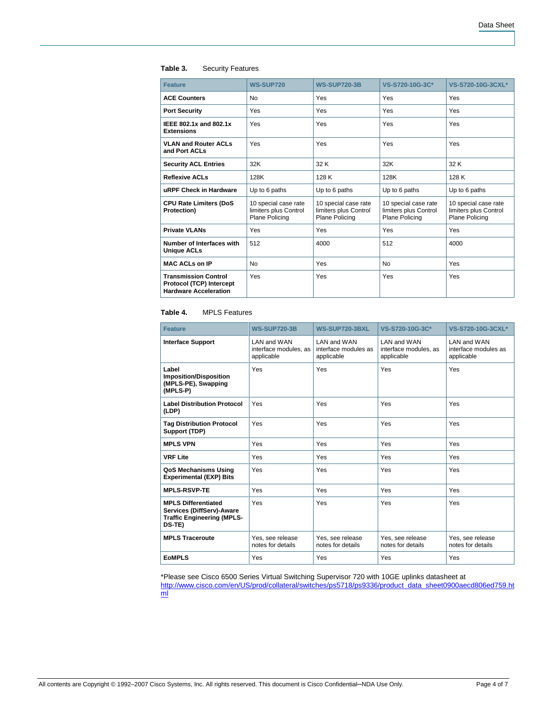# **Table 3.** Security Features

| <b>Feature</b>                                                                          | <b>WS-SUP720</b>                                                | <b>WS-SUP720-3B</b>                                             | VS-S720-10G-3C*                                                 | <b>VS-S720-10G-3CXL*</b>                                        |
|-----------------------------------------------------------------------------------------|-----------------------------------------------------------------|-----------------------------------------------------------------|-----------------------------------------------------------------|-----------------------------------------------------------------|
| <b>ACE Counters</b>                                                                     | <b>No</b>                                                       | Yes                                                             | Yes                                                             | Yes                                                             |
| <b>Port Security</b>                                                                    | Yes                                                             | Yes                                                             | Yes                                                             | Yes                                                             |
| IEEE 802.1x and 802.1x<br><b>Extensions</b>                                             | Yes                                                             | Yes                                                             | Yes                                                             | Yes                                                             |
| <b>VLAN and Router ACLs</b><br>and Port ACLs                                            | Yes                                                             | Yes                                                             | Yes                                                             | Yes                                                             |
| <b>Security ACL Entries</b>                                                             | 32K                                                             | 32 K                                                            | 32K                                                             | 32 K                                                            |
| <b>Reflexive ACLs</b>                                                                   | 128K                                                            | 128 K                                                           | 128K                                                            | 128 K                                                           |
| uRPF Check in Hardware                                                                  | Up to 6 paths                                                   | Up to 6 paths                                                   | Up to 6 paths                                                   | Up to 6 paths                                                   |
| <b>CPU Rate Limiters (DoS</b><br><b>Protection)</b>                                     | 10 special case rate<br>limiters plus Control<br>Plane Policing | 10 special case rate<br>limiters plus Control<br>Plane Policing | 10 special case rate<br>limiters plus Control<br>Plane Policing | 10 special case rate<br>limiters plus Control<br>Plane Policing |
| <b>Private VLANs</b>                                                                    | Yes                                                             | Yes                                                             | Yes                                                             | Yes                                                             |
| Number of Interfaces with<br><b>Unique ACLs</b>                                         | 512                                                             | 4000                                                            | 512                                                             | 4000                                                            |
| <b>MAC ACLs on IP</b>                                                                   | No                                                              | Yes                                                             | No                                                              | Yes                                                             |
| <b>Transmission Control</b><br>Protocol (TCP) Intercept<br><b>Hardware Acceleration</b> | Yes                                                             | Yes                                                             | Yes                                                             | Yes                                                             |

#### **Table 4.** MPLS Features

| <b>Feature</b>                                                                                         | <b>WS-SUP720-3B</b>                                | <b>WS-SUP720-3BXL</b>                              | VS-S720-10G-3C*                                     | VS-S720-10G-3CXL*                                  |
|--------------------------------------------------------------------------------------------------------|----------------------------------------------------|----------------------------------------------------|-----------------------------------------------------|----------------------------------------------------|
| <b>Interface Support</b>                                                                               | LAN and WAN<br>interface modules, as<br>applicable | I AN and WAN<br>interface modules as<br>applicable | I AN and WAN<br>interface modules, as<br>applicable | I AN and WAN<br>interface modules as<br>applicable |
| Label<br><b>Imposition/Disposition</b><br>(MPLS-PE), Swapping<br>(MPLS-P)                              | Yes                                                | Yes                                                | Yes                                                 | Yes                                                |
| <b>Label Distribution Protocol</b><br>(LDP)                                                            | Yes                                                | Yes                                                | Yes                                                 | Yes                                                |
| <b>Tag Distribution Protocol</b><br>Support (TDP)                                                      | Yes                                                | Yes                                                | Yes                                                 | Yes                                                |
| <b>MPLS VPN</b>                                                                                        | Yes                                                | Yes                                                | Yes                                                 | Yes                                                |
| <b>VRF Lite</b>                                                                                        | Yes                                                | Yes                                                | Yes                                                 | Yes                                                |
| QoS Mechanisms Using<br><b>Experimental (EXP) Bits</b>                                                 | Yes                                                | Yes                                                | Yes                                                 | Yes                                                |
| <b>MPLS-RSVP-TE</b>                                                                                    | Yes                                                | Yes                                                | Yes                                                 | Yes                                                |
| <b>MPLS Differentiated</b><br>Services (DiffServ)-Aware<br><b>Traffic Engineering (MPLS-</b><br>DS-TE) | Yes                                                | Yes                                                | Yes                                                 | Yes                                                |
| <b>MPLS Traceroute</b>                                                                                 | Yes, see release<br>notes for details              | Yes, see release<br>notes for details              | Yes, see release<br>notes for details               | Yes, see release<br>notes for details              |
| <b>EOMPLS</b>                                                                                          | Yes                                                | Yes                                                | Yes                                                 | Yes                                                |

\*Please see Cisco 6500 Series Virtual Switching Supervisor 720 with 10GE uplinks datasheet at [http://www.cisco.com/en/US/prod/collateral/switches/ps5718/ps9336/product\\_data\\_sheet0900aecd806ed759.ht](http://www.cisco.com/en/US/prod/collateral/switches/ps5718/ps9336/product_data_sheet0900aecd806ed759.html) [ml](http://www.cisco.com/en/US/prod/collateral/switches/ps5718/ps9336/product_data_sheet0900aecd806ed759.html)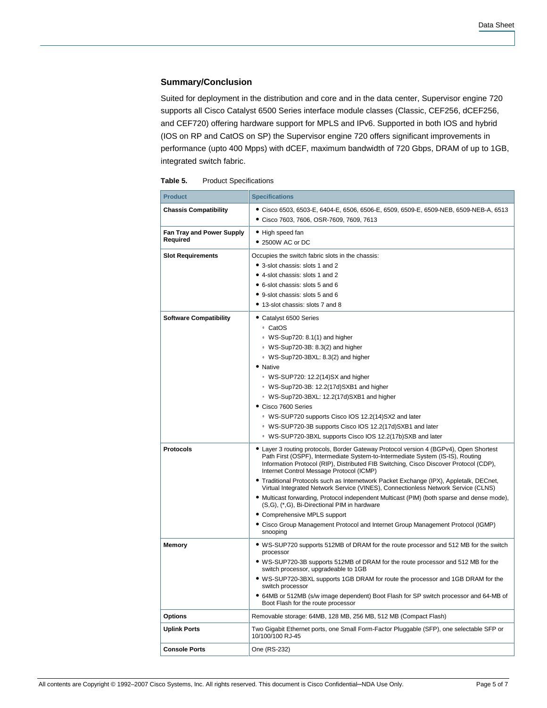# **Summary/Conclusion**

Suited for deployment in the distribution and core and in the data center, Supervisor engine 720 supports all Cisco Catalyst 6500 Series interface module classes (Classic, CEF256, dCEF256, and CEF720) offering hardware support for MPLS and IPv6. Supported in both IOS and hybrid (IOS on RP and CatOS on SP) the Supervisor engine 720 offers significant improvements in performance (upto 400 Mpps) with dCEF, maximum bandwidth of 720 Gbps, DRAM of up to 1GB, integrated switch fabric.

| Table 5.<br><b>Product Specifications</b> |
|-------------------------------------------|
|-------------------------------------------|

| <b>Product</b>                               | <b>Specifications</b>                                                                                                                                                                                                                                                                                                                                                                                                                                                                                                                                                                                                                                                                                                                                                |
|----------------------------------------------|----------------------------------------------------------------------------------------------------------------------------------------------------------------------------------------------------------------------------------------------------------------------------------------------------------------------------------------------------------------------------------------------------------------------------------------------------------------------------------------------------------------------------------------------------------------------------------------------------------------------------------------------------------------------------------------------------------------------------------------------------------------------|
| <b>Chassis Compatibility</b>                 | ● Cisco 6503, 6503-E, 6404-E, 6506, 6506-E, 6509, 6509-E, 6509-NEB, 6509-NEB-A, 6513<br>Cisco 7603, 7606, OSR-7609, 7609, 7613                                                                                                                                                                                                                                                                                                                                                                                                                                                                                                                                                                                                                                       |
| <b>Fan Tray and Power Supply</b><br>Required | • High speed fan<br>• 2500W AC or DC                                                                                                                                                                                                                                                                                                                                                                                                                                                                                                                                                                                                                                                                                                                                 |
| <b>Slot Requirements</b>                     | Occupies the switch fabric slots in the chassis:<br>• 3-slot chassis: slots 1 and 2<br>• 4-slot chassis: slots 1 and 2<br>• 6-slot chassis: slots 5 and 6<br>• 9-slot chassis: slots 5 and 6<br>• 13-slot chassis: slots 7 and 8                                                                                                                                                                                                                                                                                                                                                                                                                                                                                                                                     |
| <b>Software Compatibility</b>                | • Catalyst 6500 Series<br>∘ CatOS<br>WS-Sup720: 8.1(1) and higher<br>· WS-Sup720-3B: 8.3(2) and higher<br>· WS-Sup720-3BXL: 8.3(2) and higher<br>• Native<br>· WS-SUP720: 12.2(14)SX and higher<br>· WS-Sup720-3B: 12.2(17d)SXB1 and higher<br>· WS-Sup720-3BXL: 12.2(17d)SXB1 and higher<br>Cisco 7600 Series<br><sup>o</sup> WS-SUP720 supports Cisco IOS 12.2(14)SX2 and later<br><sup>o</sup> WS-SUP720-3B supports Cisco IOS 12.2(17d)SXB1 and later<br><sup>o</sup> WS-SUP720-3BXL supports Cisco IOS 12.2(17b)SXB and later                                                                                                                                                                                                                                   |
| <b>Protocols</b>                             | Layer 3 routing protocols, Border Gateway Protocol version 4 (BGPv4), Open Shortest<br>Path First (OSPF), Intermediate System-to-Intermediate System (IS-IS), Routing<br>Information Protocol (RIP), Distributed FIB Switching, Cisco Discover Protocol (CDP),<br>Internet Control Message Protocol (ICMP)<br>Traditional Protocols such as Internetwork Packet Exchange (IPX), Appletalk, DECnet,<br>Virtual Integrated Network Service (VINES), Connectionless Network Service (CLNS)<br>• Multicast forwarding, Protocol independent Multicast (PIM) (both sparse and dense mode),<br>(S,G), (*,G), Bi-Directional PIM in hardware<br>• Comprehensive MPLS support<br>• Cisco Group Management Protocol and Internet Group Management Protocol (IGMP)<br>snooping |
| <b>Memory</b>                                | • WS-SUP720 supports 512MB of DRAM for the route processor and 512 MB for the switch<br>processor<br>• WS-SUP720-3B supports 512MB of DRAM for the route processor and 512 MB for the<br>switch processor, upgradeable to 1GB<br>• WS-SUP720-3BXL supports 1GB DRAM for route the processor and 1GB DRAM for the<br>switch processor<br>• 64MB or 512MB (s/w image dependent) Boot Flash for SP switch processor and 64-MB of<br>Boot Flash for the route processor                                                                                                                                                                                                                                                                                                  |
| <b>Options</b>                               | Removable storage: 64MB, 128 MB, 256 MB, 512 MB (Compact Flash)                                                                                                                                                                                                                                                                                                                                                                                                                                                                                                                                                                                                                                                                                                      |
| <b>Uplink Ports</b>                          | Two Gigabit Ethernet ports, one Small Form-Factor Pluggable (SFP), one selectable SFP or<br>10/100/100 RJ-45                                                                                                                                                                                                                                                                                                                                                                                                                                                                                                                                                                                                                                                         |
| <b>Console Ports</b>                         | One (RS-232)                                                                                                                                                                                                                                                                                                                                                                                                                                                                                                                                                                                                                                                                                                                                                         |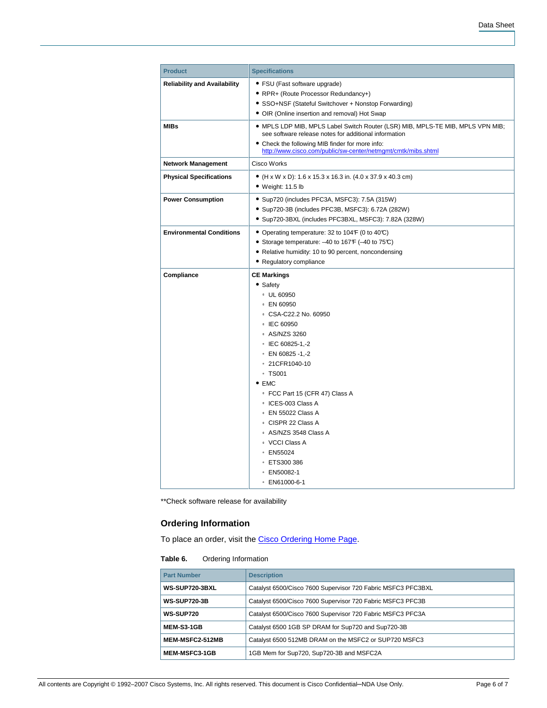| <b>Product</b>                      | <b>Specifications</b>                                                                                                                                                                                                                                                                                                                                                                                                                      |
|-------------------------------------|--------------------------------------------------------------------------------------------------------------------------------------------------------------------------------------------------------------------------------------------------------------------------------------------------------------------------------------------------------------------------------------------------------------------------------------------|
| <b>Reliability and Availability</b> | • FSU (Fast software upgrade)<br>• RPR+ (Route Processor Redundancy+)<br>• SSO+NSF (Stateful Switchover + Nonstop Forwarding)<br>• OIR (Online insertion and removal) Hot Swap                                                                                                                                                                                                                                                             |
| <b>MIBs</b>                         | • MPLS LDP MIB, MPLS Label Switch Router (LSR) MIB, MPLS-TE MIB, MPLS VPN MIB;<br>see software release notes for additional information<br>• Check the following MIB finder for more info:<br>http://www.cisco.com/public/sw-center/netmqmt/cmtk/mibs.shtml                                                                                                                                                                                |
| <b>Network Management</b>           | Cisco Works                                                                                                                                                                                                                                                                                                                                                                                                                                |
| <b>Physical Specifications</b>      | • (H x W x D): 1.6 x 15.3 x 16.3 in. (4.0 x 37.9 x 40.3 cm)<br>$\bullet$ Weight: 11.5 lb                                                                                                                                                                                                                                                                                                                                                   |
| <b>Power Consumption</b>            | · Sup720 (includes PFC3A, MSFC3): 7.5A (315W)<br>• Sup720-3B (includes PFC3B, MSFC3): 6.72A (282W)<br>· Sup720-3BXL (includes PFC3BXL, MSFC3): 7.82A (328W)                                                                                                                                                                                                                                                                                |
| <b>Environmental Conditions</b>     | • Operating temperature: 32 to 104F (0 to 40°C)<br>• Storage temperature: -40 to 167F (-40 to 75°C)<br>• Relative humidity: 10 to 90 percent, noncondensing<br>• Regulatory compliance                                                                                                                                                                                                                                                     |
| Compliance                          | <b>CE Markings</b><br>• Safety<br>• UL 60950<br>∘ EN 60950<br>CSA-C22.2 No. 60950<br>• IEC 60950<br>∘ AS/NZS 3260<br>© IEC 60825-1,-2<br>$\degree$ EN 60825 -1,-2<br>○ 21CFR1040-10<br>$\degree$ TS001<br>$\bullet$ EMC<br>• FCC Part 15 (CFR 47) Class A<br>• ICES-003 Class A<br>∘ EN 55022 Class A<br>∘ CISPR 22 Class A<br>○ AS/NZS 3548 Class A<br>• VCCI Class A<br>• EN55024<br><b>• ETS300 386</b><br>• EN50082-1<br>● EN61000-6-1 |

\*\*Check software release for availability

# **Ordering Information**

To place an order, visit the [Cisco Ordering Home Page.](http://www.cisco.com/en/US/ordering/or13/or8/order_customer_help_how_to_order_listing.html)

# **Table 6.** Ordering Information

| <b>Part Number</b>    | <b>Description</b>                                           |
|-----------------------|--------------------------------------------------------------|
| <b>WS-SUP720-3BXL</b> | Catalyst 6500/Cisco 7600 Supervisor 720 Fabric MSFC3 PFC3BXL |
| <b>WS-SUP720-3B</b>   | Catalyst 6500/Cisco 7600 Supervisor 720 Fabric MSFC3 PFC3B   |
| <b>WS-SUP720</b>      | Catalyst 6500/Cisco 7600 Supervisor 720 Fabric MSFC3 PFC3A   |
| <b>MEM-S3-1GB</b>     | Catalyst 6500 1GB SP DRAM for Sup720 and Sup720-3B           |
| MEM-MSFC2-512MB       | Catalyst 6500 512MB DRAM on the MSFC2 or SUP720 MSFC3        |
| <b>MEM-MSFC3-1GB</b>  | 1GB Mem for Sup720, Sup720-3B and MSFC2A                     |